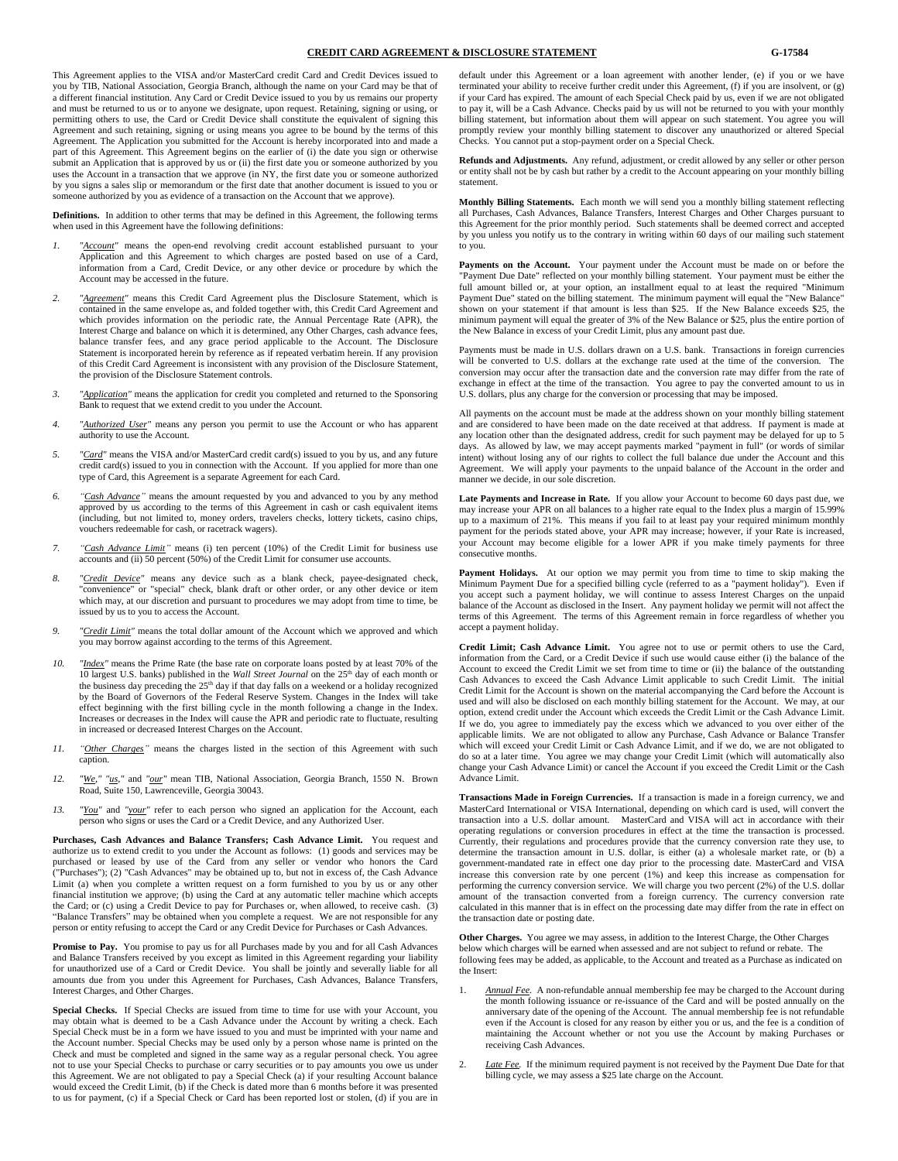### **CREDIT CARD AGREEMENT & DISCLOSURE STATEMENT G-17584**

This Agreement applies to the VISA and/or MasterCard credit Card and Credit Devices issued to you by TIB, National Association, Georgia Branch, although the name on your Card may be that of a different financial institution. Any Card or Credit Device issued to you by us remains our property and must be returned to us or to anyone we designate, upon request. Retaining, signing or using, or permitting others to use, the Card or Credit Device shall constitute the equivalent of signing this Agreement and such retaining, signing or using means you agree to be bound by the terms of this Agreement. The Application you submitted for the Account is hereby incorporated into and made a part of this Agreement. This Agreement begins on the earlier of (i) the date you sign or otherwise submit an Application that is approved by us or (ii) the first date you or someone authorized by you uses the Account in a transaction that we approve (in NY, the first date you or someone authorized by you signs a sales slip or memorandum or the first date that another document is issued to you or someone authorized by you as evidence of a transaction on the Account that we approve).

**Definitions.** In addition to other terms that may be defined in this Agreement, the following terms when used in this Agreement have the following definitions:

- *1. "Account"* means the open-end revolving credit account established pursuant to your Application and this Agreement to which charges are posted based on use of a Card, information from a Card, Credit Device, or any other device or procedure by which the Account may be accessed in the future.
- *2. "Agreement"* means this Credit Card Agreement plus the Disclosure Statement, which is contained in the same envelope as, and folded together with, this Credit Card Agreement and which provides information on the periodic rate, the Annual Percentage Rate (APR), the Interest Charge and balance on which it is determined, any Other Charges, cash advance fees, balance transfer fees, and any grace period applicable to the Account. The Disclosure Statement is incorporated herein by reference as if repeated verbatim herein. If any provision of this Credit Card Agreement is inconsistent with any provision of the Disclosure Statement, the provision of the Disclosure Statement controls.
- *3. "Application"* means the application for credit you completed and returned to the Sponsoring Bank to request that we extend credit to you under the Account.
- *4. "Authorized User"* means any person you permit to use the Account or who has apparent authority to use the Account.
- *5. "Card"* means the VISA and/or MasterCard credit card(s) issued to you by us, and any future credit card(s) issued to you in connection with the Account. If you applied for more than one type of Card, this Agreement is a separate Agreement for each Card.
- *6. "Cash Advance"* means the amount requested by you and advanced to you by any method approved by us according to the terms of this Agreement in cash or cash equivalent items (including, but not limited to, money orders, travelers checks, lottery tickets, casino chips, vouchers redeemable for cash, or racetrack wagers).
- *7. "Cash Advance Limit"* means (i) ten percent (10%) of the Credit Limit for business use accounts and (ii) 50 percent (50%) of the Credit Limit for consumer use accounts.
- *8. "Credit Device"* means any device such as a blank check, payee-designated check, "convenience" or "special" check, blank draft or other order, or any other device or item which may, at our discretion and pursuant to procedures we may adopt from time to time, be issued by us to you to access the Account.
- "Credit Limit" means the total dollar amount of the Account which we approved and which you may borrow against according to the terms of this Agreement.
- *10. "Index"* means the Prime Rate (the base rate on corporate loans posted by at least 70% of the 10 largest U.S. banks) published in the *Wall Street Journal* on the 25<sup>th</sup> day of each month or the business day preceding the 25<sup>th</sup> day if that day falls on a weekend or a holiday recognized by the Board of Governors of the Federal Reserve System. Changes in the Index will take effect beginning with the first billing cycle in the month following a change in the Index. Increases or decreases in the Index will cause the APR and periodic rate to fluctuate, resulting in increased or decreased Interest Charges on the Account.
- *11. "Other Charges"* means the charges listed in the section of this Agreement with such caption.
- *12. "We," "us,"* and *"our"* mean TIB, National Association, Georgia Branch, 1550 N. Brown Road, Suite 150, Lawrenceville, Georgia 30043.
- *13. "You"* and *"your"* refer to each person who signed an application for the Account, each person who signs or uses the Card or a Credit Device, and any Authorized User.

**Purchases, Cash Advances and Balance Transfers; Cash Advance Limit.** You request and authorize us to extend credit to you under the Account as follows: (1) goods and services may be purchased or leased by use of the Card from any seller or vendor who honors the Card ("Purchases"); (2) "Cash Advances" may be obtained up to, but not in excess of, the Cash Advance Limit (a) when you complete a written request on a form furnished to you by us or any other financial institution we approve; (b) using the Card at any automatic teller machine which accepts the Card; or (c) using a Credit Device to pay for Purchases or, when allowed, to receive cash. (3) "Balance Transfers" may be obtained when you complete a request. We are not responsible for any person or entity refusing to accept the Card or any Credit Device for Purchases or Cash Advances.

Promise to Pay. You promise to pay us for all Purchases made by you and for all Cash Advances and Balance Transfers received by you except as limited in this Agreement regarding your liability<br>for unauthorized use of a Card or Credit Device. You shall be jointly and severally liable for all<br>amounts due from you und Interest Charges, and Other Charges.

Special Checks. If Special Checks are issued from time to time for use with your Account, you may obtain what is deemed to be a Cash Advance under the Account by writing a check. Each Special Check must be in a form we have issued to you and must be imprinted with your name and the Account number. Special Checks may be used only by a person whose name is printed on the Check and must be completed and signed in the same way as a regular personal check. You agree not to use your Special Checks to purchase or carry securities or to pay amounts you owe us under this Agreement. We are not obligated to pay a Special Check (a) if your resulting Account balance would exceed the Credit Limit, (b) if the Check is dated more than 6 months before it was presented to us for payment, (c) if a Special Check or Card has been reported lost or stolen, (d) if you are in

default under this Agreement or a loan agreement with another lender, (e) if you or we have terminated your ability to receive further credit under this Agreement, (f) if you are insolvent, or (g) if your Card has expired. The amount of each Special Check paid by us, even if we are not obligated to pay it, will be a Cash Advance. Checks paid by us will not be returned to you with your monthly billing statement, but information about them will appear on such statement. You agree you will promptly review your monthly billing statement to discover any unauthorized or altered Special Checks. You cannot put a stop-payment order on a Special Check.

**Refunds and Adjustments.** Any refund, adjustment, or credit allowed by any seller or other person or entity shall not be by cash but rather by a credit to the Account appearing on your monthly billing statement.

**Monthly Billing Statements.** Each month we will send you a monthly billing statement reflecting all Purchases, Cash Advances, Balance Transfers, Interest Charges and Other Charges pursuant to this Agreement for the prior monthly period. Such statements shall be deemed correct and accepted by you unless you notify us to the contrary in writing within 60 days of our mailing such statement to you.

**Payments on the Account.** Your payment under the Account must be made on or before the "Payment Due Date" reflected on your monthly billing statement. Your payment must be either the full amount billed or, at your option, an installment equal to at least the required "Minimum Payment Due" stated on the billing statement. The minimum payment will equal the "New Balance" shown on your statement if that amount is less than \$25. If the New Balance exceeds \$25, the minimum payment will equal the greater of 3% of the New Balance or \$25, plus the entire portion of the New Balance in excess of your Credit Limit, plus any amount past due.

Payments must be made in U.S. dollars drawn on a U.S. bank. Transactions in foreign currencies will be converted to U.S. dollars at the exchange rate used at the time of the conversion. The conversion may occur after the transaction date and the conversion rate may differ from the rate of exchange in effect at the time of the transaction. You agree to pay the converted amount to us in U.S. dollars, plus any charge for the conversion or processing that may be imposed.

All payments on the account must be made at the address shown on your monthly billing statement and are considered to have been made on the date received at that address. If payment is made at any location other than the designated address, credit for such payment may be delayed for up to 5 days. As allowed by law, we may accept payments marked "payment in full" (or words of similar intent) without losing any of our rights to collect the full balance due under the Account and this Agreement. We will apply your payments to the unpaid balance of the Account in the order and manner we decide, in our sole discretion.

**Late Payments and Increase in Rate.** If you allow your Account to become 60 days past due, we may increase your APR on all balances to a higher rate equal to the Index plus a margin of 15.99% up to a maximum of 21%. This means if you fail to at least pay your required minimum monthly payment for the periods stated above, your APR may increase; however, if your Rate is increased, your Account may become eligible for a lower APR if you make timely payments for three consecutive months.

Payment Holidays. At our option we may permit you from time to time to skip making the Minimum Payment Due for a specified billing cycle (referred to as a "payment holiday"). Even if you accept such a payment holiday, we will continue to assess Interest Charges on the unpaid balance of the Account as disclosed in the Insert. Any payment holiday we permit will not affect the terms of this Agreement. The terms of this Agreement remain in force regardless of whether you accept a payment holiday.

**Credit Limit; Cash Advance Limit.** You agree not to use or permit others to use the Card, information from the Card, or a Credit Device if such use would cause either (i) the balance of the Account to exceed the Credit Limit we set from time to time or (ii) the balance of the outstanding Cash Advances to exceed the Cash Advance Limit applicable to such Credit Limit. The initial Credit Limit for the Account is shown on the material accompanying the Card before the Account is used and will also be disclosed on each monthly billing statement for the Account. We may, at our option, extend credit under the Account which exceeds the Credit Limit or the Cash Advance Limit. If we do, you agree to immediately pay the excess which we advanced to you over either of the applicable limits. We are not obligated to allow any Purchase, Cash Advance or Balance Transfer which will exceed your Credit Limit or Cash Advance Limit, and if we do, we are not obligated to do so at a later time. You agree we may change your Credit Limit (which will automatically also change your Cash Advance Limit) or cancel the Account if you exceed the Credit Limit or the Cash Advance Limit.

**Transactions Made in Foreign Currencies.** If a transaction is made in a foreign currency, we and MasterCard International or VISA International, depending on which card is used, will convert the transaction into a U.S. dollar amount. MasterCard and VISA will act in accordance with their operating regulations or conversion procedures in effect at the time the transaction is processed. Currently, their regulations and procedures provide that the currency conversion rate they use, to determine the transaction amount in U.S. dollar, is either (a) a wholesale market rate, or (b) a government-mandated rate in effect one day prior to the processing date. MasterCard and VISA increase this conversion rate by one percent (1%) and keep this increase as compensation for performing the currency conversion service. We will charge you two percent (2%) of the U.S. dollar amount of the transaction converted from a foreign currency. The currency conversion rate calculated in this manner that is in effect on the processing date may differ from the rate in effect on the transaction date or posting date.

**Other Charges.** You agree we may assess, in addition to the Interest Charge, the Other Charges below which charges will be earned when assessed and are not subject to refund or rebate. The following fees may be added, as applicable, to the Account and treated as a Purchase as indicated on the Insert:

- 1. *Annual Fee.* A non-refundable annual membership fee may be charged to the Account during the month following issuance or re-issuance of the Card and will be posted annually on the anniversary date of the opening of the Account. The annual membership fee is not refundable even if the Account is closed for any reason by either you or us, and the fee is a condition of maintaining the Account whether or not you use the Account by making Purchases or receiving Cash Advances.
- 2. *Late Fee.* If the minimum required payment is not received by the Payment Due Date for that billing cycle, we may assess a \$25 late charge on the Account.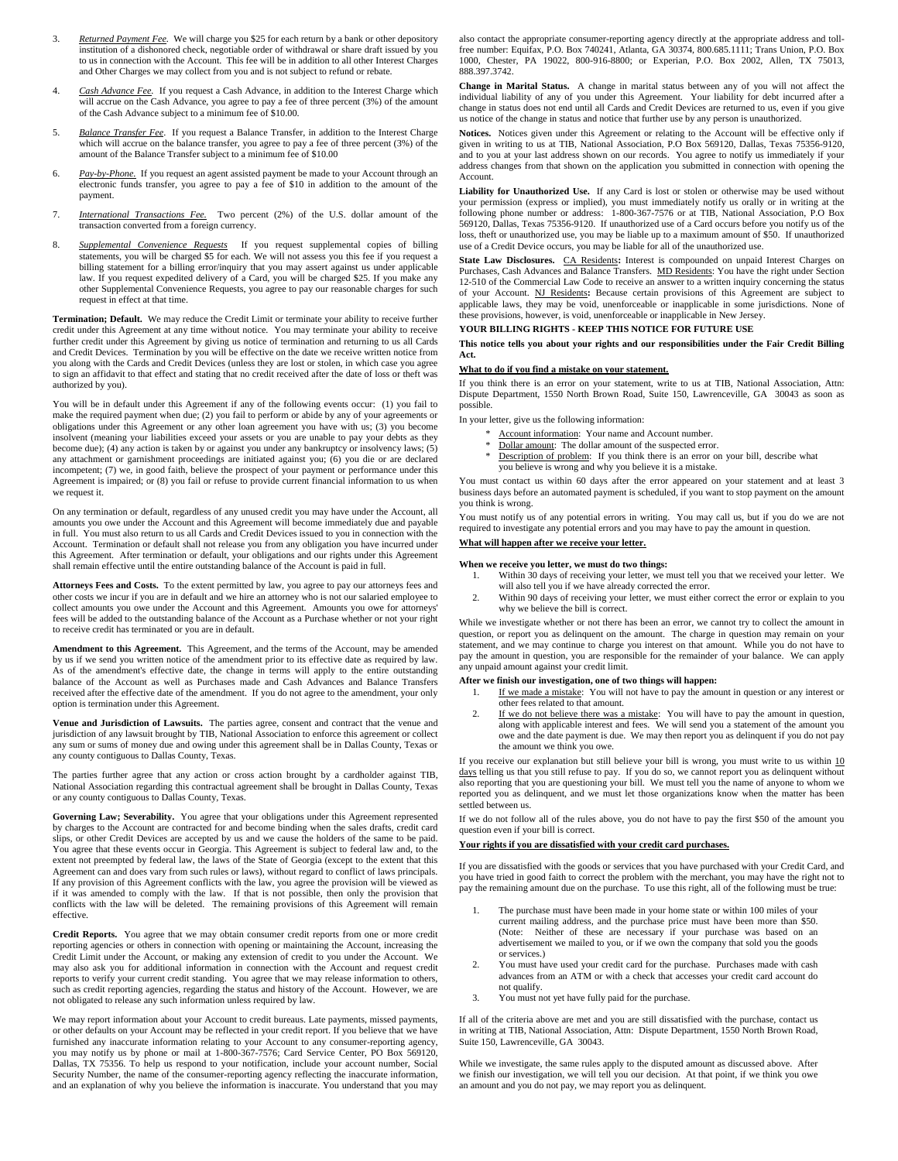- 3. *Returned Payment Fee.* We will charge you \$25 for each return by a bank or other depository institution of a dishonored check, negotiable order of withdrawal or share draft issued by you to us in connection with the Account. This fee will be in addition to all other Interest Charges and Other Charges we may collect from you and is not subject to refund or rebate.
- 4. *Cash Advance Fee.* If you request a Cash Advance, in addition to the Interest Charge which will accrue on the Cash Advance, you agree to pay a fee of three percent (3%) of the amount of the Cash Advance subject to a minimum fee of \$10.00.
- 5. *Balance Transfer Fee*. If you request a Balance Transfer, in addition to the Interest Charge which will accrue on the balance transfer, you agree to pay a fee of three percent (3%) of the amount of the Balance Transfer subject to a minimum fee of \$10.00
- 6. *Pay-by-Phone.* If you request an agent assisted payment be made to your Account through an electronic funds transfer, you agree to pay a fee of \$10 in addition to the amount of the payment.
- 7. *International Transactions Fee.* Two percent (2%) of the U.S. dollar amount of the transaction converted from a foreign currency.
- 8. *Supplemental Convenience Requests* If you request supplemental copies of billing statements, you will be charged \$5 for each. We will not assess you this fee if you request a billing statement for a billing error/inquiry that you may assert against us under applicable law. If you request expedited delivery of a Card, you will be charged \$25. If you make any other Supplemental Convenience Requests, you agree to pay our reasonable charges for such request in effect at that time.

**Termination; Default.** We may reduce the Credit Limit or terminate your ability to receive further credit under this Agreement at any time without notice. You may terminate your ability to receive further credit under this Agreement by giving us notice of termination and returning to us all Cards and Credit Devices. Termination by you will be effective on the date we receive written notice from you along with the Cards and Credit Devices (unless they are lost or stolen, in which case you agree to sign an affidavit to that effect and stating that no credit received after the date of loss or theft was authorized by you).

You will be in default under this Agreement if any of the following events occur: (1) you fail to make the required payment when due; (2) you fail to perform or abide by any of your agreements or obligations under this Agreement or any other loan agreement you have with us; (3) you become insolvent (meaning your liabilities exceed your assets or you are unable to pay your debts as they become due); (4) any action is taken by or against you under any bankruptcy or insolvency laws; (5) any attachment or garnishment proceedings are initiated against you; (6) you die or are declared incompetent; (7) we, in good faith, believe the prospect of your payment or performance under this Agreement is impaired; or (8) you fail or refuse to provide current financial information to us when we request it.

On any termination or default, regardless of any unused credit you may have under the Account, all amounts you owe under the Account and this Agreement will become immediately due and payable in full. You must also return to us all Cards and Credit Devices issued to you in connection with the Account. Termination or default shall not release you from any obligation you have incurred under this Agreement. After termination or default, your obligations and our rights under this Agreement shall remain effective until the entire outstanding balance of the Account is paid in full.

**Attorneys Fees and Costs.** To the extent permitted by law, you agree to pay our attorneys fees and other costs we incur if you are in default and we hire an attorney who is not our salaried employee to collect amounts you owe under the Account and this Agreement. Amounts you owe for attorneys' fees will be added to the outstanding balance of the Account as a Purchase whether or not your right to receive credit has terminated or you are in default.

**Amendment to this Agreement.** This Agreement, and the terms of the Account, may be amended by us if we send you written notice of the amendment prior to its effective date as required by law. As of the amendment's effective date, the change in terms will apply to the entire outstanding balance of the Account as well as Purchases made and Cash Advances and Balance Transfers received after the effective date of the amendment. If you do not agree to the amendment, your only option is termination under this Agreement.

**Venue and Jurisdiction of Lawsuits.** The parties agree, consent and contract that the venue and jurisdiction of any lawsuit brought by TIB, National Association to enforce this agreement or collect any sum or sums of money due and owing under this agreement shall be in Dallas County, Texas or any county contiguous to Dallas County, Texas.

The parties further agree that any action or cross action brought by a cardholder against TIB, National Association regarding this contractual agreement shall be brought in Dallas County, Texas or any county contiguous to Dallas County, Texas.

**Governing Law; Severability.** You agree that your obligations under this Agreement represented by charges to the Account are contracted for and become binding when the sales drafts, credit card slips, or other Credit Devices are accepted by us and we cause the holders of the same to be paid. You agree that these events occur in Georgia. This Agreement is subject to federal law and, to the extent not preempted by federal law, the laws of the State of Georgia (except to the extent that this Agreement can and does vary from such rules or laws), without regard to conflict of laws principals. If any provision of this Agreement conflicts with the law, you agree the provision will be viewed as if it was amended to comply with the law. If that is not possible, then only the provision that conflicts with the law will be deleted. The remaining provisions of this Agreement will remain effective.

**Credit Reports.** You agree that we may obtain consumer credit reports from one or more credit reporting agencies or others in connection with opening or maintaining the Account, increasing the Credit Limit under the Account, or making any extension of credit to you under the Account. We may also ask you for additional information in connection with the Account and request credit reports to verify your current credit standing. You agree that we may release information to others, such as credit reporting agencies, regarding the status and history of the Account. However, we are not obligated to release any such information unless required by law.

We may report information about your Account to credit bureaus. Late payments, missed payments, or other defaults on your Account may be reflected in your credit report. If you believe that we have furnished any inaccurate information relating to your Account to any consumer-reporting agency, you may notify us by phone or mail at 1-800-367-7576; Card Service Center, PO Box 569120, Dallas, TX 75356. To help us respond to your notification, include your account number, Social Security Number, the name of the consumer-reporting agency reflecting the inaccurate information, and an explanation of why you believe the information is inaccurate. You understand that you may

also contact the appropriate consumer-reporting agency directly at the appropriate address and tollfree number: Equifax, P.O. Box 740241, Atlanta, GA 30374, 800.685.1111; Trans Union, P.O. Box 1000, Chester, PA 19022, 800-916-8800; or Experian, P.O. Box 2002, Allen, TX 75013, 888.397.3742.

**Change in Marital Status.** A change in marital status between any of you will not affect the individual liability of any of you under this Agreement. Your liability for debt incurred after a change in status does not end until all Cards and Credit Devices are returned to us, even if you give us notice of the change in status and notice that further use by any person is unauthorized.

**Notices.** Notices given under this Agreement or relating to the Account will be effective only if given in writing to us at TIB, National Association, P.O Box 569120, Dallas, Texas 75356-9120, and to you at your last address shown on our records. You agree to notify us immediately if your address changes from that shown on the application you submitted in connection with opening the Account.

**Liability for Unauthorized Use.** If any Card is lost or stolen or otherwise may be used without your permission (express or implied), you must immediately notify us orally or in writing at the following phone number or address: 1-800-367-7576 or at TIB, National Association, P.O Box 569120, Dallas, Texas 75356-9120. If unauthorized use of a Card occurs before you notify us of the loss, theft or unauthorized use, you may be liable up to a maximum amount of \$50. If unauthorized use of a Credit Device occurs, you may be liable for all of the unauthorized use.

**State Law Disclosures.** CA Residents**:** Interest is compounded on unpaid Interest Charges on Purchases, Cash Advances and Balance Transfers. MD Residents: You have the right under Section 12-510 of the Commercial Law Code to receive an answer to a written inquiry concerning the status of your Account. NJ Residents**:** Because certain provisions of this Agreement are subject to applicable laws, they may be void, unenforceable or inapplicable in some jurisdictions. None of these provisions, however, is void, unenforceable or inapplicable in New Jersey.

## **YOUR BILLING RIGHTS - KEEP THIS NOTICE FOR FUTURE USE**

**This notice tells you about your rights and our responsibilities under the Fair Credit Billing Act.**

### **What to do if you find a mistake on your statement.**

If you think there is an error on your statement, write to us at TIB, National Association, Attn: Dispute Department, 1550 North Brown Road, Suite 150, Lawrenceville, GA 30043 as soon as possible.

In your letter, give us the following information:

- Account information: Your name and Account number.
- Dollar amount: The dollar amount of the suspected error.
- Description of problem: If you think there is an error on your bill, describe what you believe is wrong and why you believe it is a mistake.

You must contact us within 60 days after the error appeared on your statement and at least 3 business days before an automated payment is scheduled, if you want to stop payment on the amount you think is wrong.

You must notify us of any potential errors in writing. You may call us, but if you do we are not required to investigate any potential errors and you may have to pay the amount in question.

### **What will happen after we receive your letter.**

#### **When we receive you letter, we must do two things:**

- 1. Within 30 days of receiving your letter, we must tell you that we received your letter. We will also tell you if we have already corrected the error.
- 2. Within 90 days of receiving your letter, we must either correct the error or explain to you why we believe the bill is correct.

While we investigate whether or not there has been an error, we cannot try to collect the amount in question, or report you as delinquent on the amount. The charge in question may remain on your statement, and we may continue to charge you interest on that amount. While you do not have to pay the amount in question, you are responsible for the remainder of your balance. We can apply any unpaid amount against your credit limit.

### **After we finish our investigation, one of two things will happen:**

- 1. If we made a mistake: You will not have to pay the amount in question or any interest or other fees related to that amount.
- 2. If we do not believe there was a mistake: You will have to pay the amount in question, along with applicable interest and fees. We will send you a statement of the amount you owe and the date payment is due. We may then report you as delinquent if you do not pay the amount we think you owe.

If you receive our explanation but still believe your bill is wrong, you must write to us within  $10$ days telling us that you still refuse to pay. If you do so, we cannot report you as delinquent without also reporting that you are questioning your bill. We must tell you the name of anyone to whom we reported you as delinquent, and we must let those organizations know when the matter has been settled between us.

If we do not follow all of the rules above, you do not have to pay the first \$50 of the amount you question even if your bill is correct.

### **Your rights if you are dissatisfied with your credit card purchases.**

If you are dissatisfied with the goods or services that you have purchased with your Credit Card, and you have tried in good faith to correct the problem with the merchant, you may have the right not to pay the remaining amount due on the purchase. To use this right, all of the following must be true:

- 1. The purchase must have been made in your home state or within 100 miles of your current mailing address, and the purchase price must have been more than \$50. (Note: Neither of these are necessary if your purchase was based on an advertisement we mailed to you, or if we own the company that sold you the goods or services.)
- 2. You must have used your credit card for the purchase. Purchases made with cash advances from an ATM or with a check that accesses your credit card account do not qualify.
- 3. You must not yet have fully paid for the purchase.

If all of the criteria above are met and you are still dissatisfied with the purchase, contact us in writing at TIB, National Association, Attn: Dispute Department, 1550 North Brown Road, Suite 150, Lawrenceville, GA 30043.

While we investigate, the same rules apply to the disputed amount as discussed above. After we finish our investigation, we will tell you our decision. At that point, if we think you owe an amount and you do not pay, we may report you as delinquent.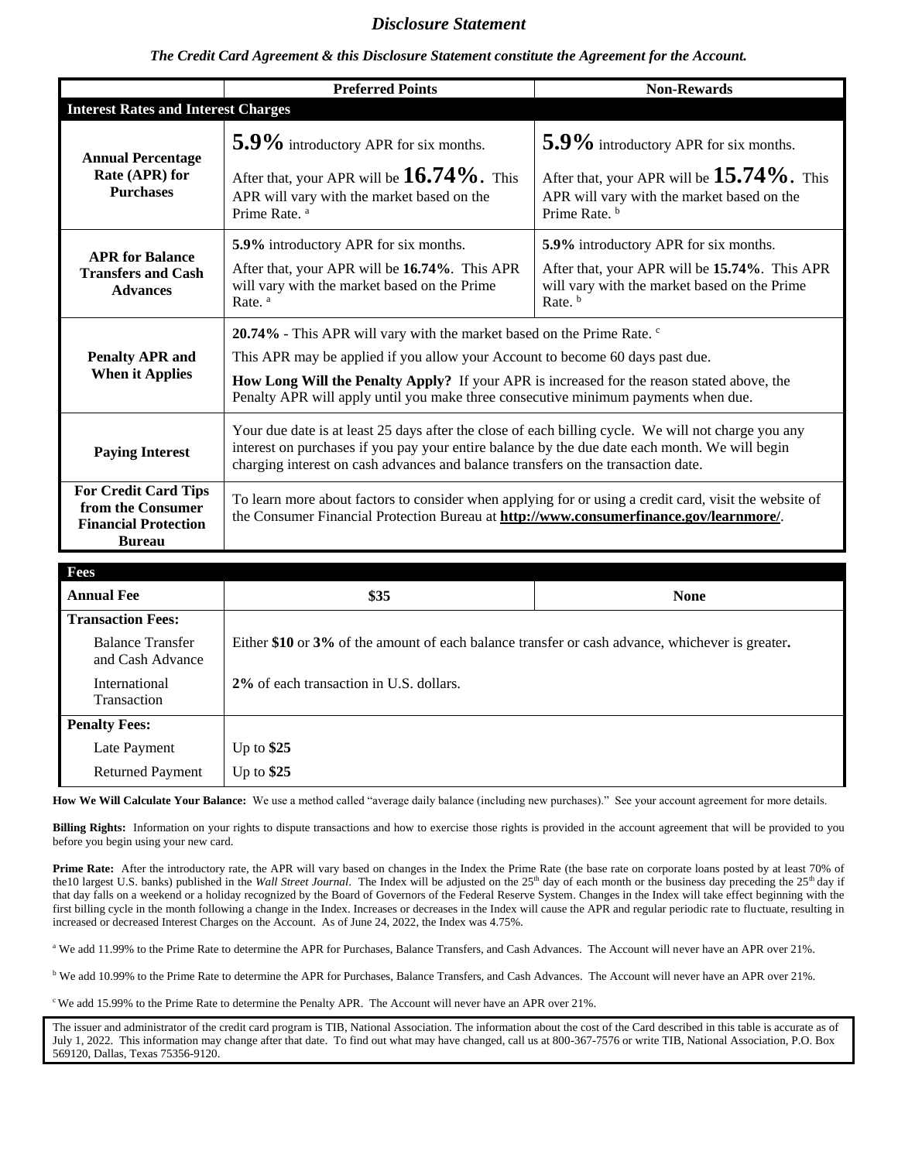# *Disclosure Statement*

*The Credit Card Agreement & this Disclosure Statement constitute the Agreement for the Account.*

|                                                                                                  | <b>Preferred Points</b>                                                                                                                                                                                                                                                                                                                                | <b>Non-Rewards</b>                                                                                                      |
|--------------------------------------------------------------------------------------------------|--------------------------------------------------------------------------------------------------------------------------------------------------------------------------------------------------------------------------------------------------------------------------------------------------------------------------------------------------------|-------------------------------------------------------------------------------------------------------------------------|
| <b>Interest Rates and Interest Charges</b>                                                       |                                                                                                                                                                                                                                                                                                                                                        |                                                                                                                         |
| <b>Annual Percentage</b><br>Rate (APR) for<br><b>Purchases</b>                                   | 5.9% introductory APR for six months.                                                                                                                                                                                                                                                                                                                  | 5.9% introductory APR for six months.                                                                                   |
|                                                                                                  | After that, your APR will be $16.74\%$ . This<br>APR will vary with the market based on the<br>Prime Rate. <sup>a</sup>                                                                                                                                                                                                                                | After that, your APR will be $15.74\%$ . This<br>APR will vary with the market based on the<br>Prime Rate. <sup>b</sup> |
| <b>APR</b> for Balance<br><b>Transfers and Cash</b><br><b>Advances</b>                           | 5.9% introductory APR for six months.                                                                                                                                                                                                                                                                                                                  | 5.9% introductory APR for six months.                                                                                   |
|                                                                                                  | After that, your APR will be 16.74%. This APR<br>will vary with the market based on the Prime<br>Rate. <sup>a</sup>                                                                                                                                                                                                                                    | After that, your APR will be 15.74%. This APR<br>will vary with the market based on the Prime<br>Rate. <sup>b</sup>     |
| <b>Penalty APR and</b><br><b>When it Applies</b>                                                 | 20.74% - This APR will vary with the market based on the Prime Rate. <sup>c</sup><br>This APR may be applied if you allow your Account to become 60 days past due.<br>How Long Will the Penalty Apply? If your APR is increased for the reason stated above, the<br>Penalty APR will apply until you make three consecutive minimum payments when due. |                                                                                                                         |
| <b>Paying Interest</b>                                                                           | Your due date is at least 25 days after the close of each billing cycle. We will not charge you any<br>interest on purchases if you pay your entire balance by the due date each month. We will begin<br>charging interest on cash advances and balance transfers on the transaction date.                                                             |                                                                                                                         |
| <b>For Credit Card Tips</b><br>from the Consumer<br><b>Financial Protection</b><br><b>Bureau</b> | To learn more about factors to consider when applying for or using a credit card, visit the website of<br>the Consumer Financial Protection Bureau at http://www.consumerfinance.gov/learnmore/.                                                                                                                                                       |                                                                                                                         |
| Fees                                                                                             |                                                                                                                                                                                                                                                                                                                                                        |                                                                                                                         |
| <b>Annual Fee</b>                                                                                | \$35                                                                                                                                                                                                                                                                                                                                                   | <b>None</b>                                                                                                             |
| <b>Transaction Fees:</b>                                                                         |                                                                                                                                                                                                                                                                                                                                                        |                                                                                                                         |
| <b>Balance Transfer</b><br>and Cash Advance                                                      | Either \$10 or 3% of the amount of each balance transfer or cash advance, whichever is greater.                                                                                                                                                                                                                                                        |                                                                                                                         |
| International<br>Transaction                                                                     | 2% of each transaction in U.S. dollars.                                                                                                                                                                                                                                                                                                                |                                                                                                                         |
| <b>Penalty Fees:</b>                                                                             |                                                                                                                                                                                                                                                                                                                                                        |                                                                                                                         |

**How We Will Calculate Your Balance:** We use a method called "average daily balance (including new purchases)." See your account agreement for more details.

Billing Rights: Information on your rights to dispute transactions and how to exercise those rights is provided in the account agreement that will be provided to you before you begin using your new card.

Prime Rate: After the introductory rate, the APR will vary based on changes in the Index the Prime Rate (the base rate on corporate loans posted by at least 70% of the10 largest U.S. banks) published in the *Wall Street Journal*. The Index will be adjusted on the 25<sup>th</sup> day of each month or the business day preceding the 25<sup>th</sup> day if that day falls on a weekend or a holiday recognized by the Board of Governors of the Federal Reserve System. Changes in the Index will take effect beginning with the first billing cycle in the month following a change in the Index. Increases or decreases in the Index will cause the APR and regular periodic rate to fluctuate, resulting in increased or decreased Interest Charges on the Account. As of June 24, 2022, the Index was 4.75%.

<sup>a</sup> We add 11.99% to the Prime Rate to determine the APR for Purchases, Balance Transfers, and Cash Advances. The Account will never have an APR over 21%.

<sup>b</sup> We add 10.99% to the Prime Rate to determine the APR for Purchases, Balance Transfers, and Cash Advances. The Account will never have an APR over 21%.

<sup>c</sup>We add 15.99% to the Prime Rate to determine the Penalty APR. The Account will never have an APR over 21%.

Up to **\$25** Up to **\$25**

Late Payment Returned Payment

The issuer and administrator of the credit card program is TIB, National Association. The information about the cost of the Card described in this table is accurate as of July 1, 2022. This information may change after that date. To find out what may have changed, call us at 800-367-7576 or write TIB, National Association, P.O. Box 569120, Dallas, Texas 75356-9120.